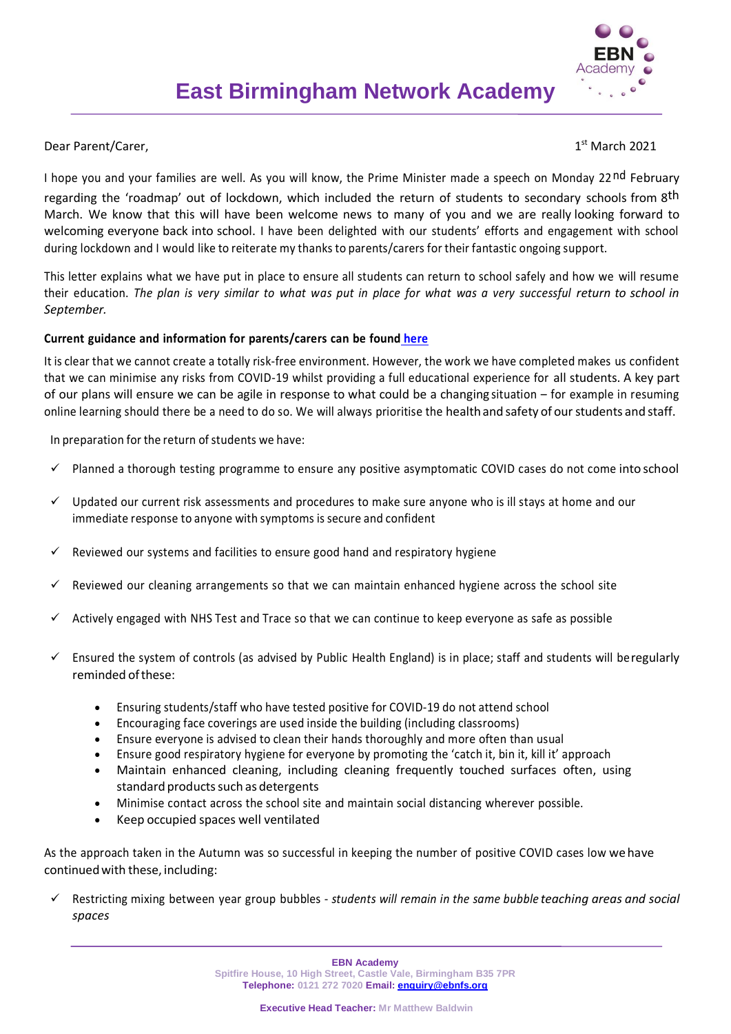

## Dear Parent/Carer.

 $1<sup>st</sup>$  March 2021

I hope you and your families are well. As you will know, the Prime Minister made a speech on Monday 22nd February regarding the 'roadmap' out of lockdown, which included the return of students to secondary schools from 8<sup>th</sup> March. We know that this will have been welcome news to many of you and we are really looking forward to welcoming everyone back into school. I have been delighted with our students' efforts and engagement with school during lockdown and I would like to reiterate my thanks to parents/carers for their fantastic ongoing support.

This letter explains what we have put in place to ensure all students can return to school safely and how we will resume their education. *The plan is very similar to what was put in place for what was a very successful return to school in September.*

## **Current guidance and information for parents/carers can be foun[d](-%09https:/www.gov.uk/government/publications/what-parents-and-carers-need-to-know-about-early-years-providers-schools-and-colleges-during-the-coronavirus-covid-19-outbreak/what-parents-need-to-know-about-early-years-providers-schools-and-colleges-during-covid-19) [here](https://www.gov.uk/government/publications/what-parents-and-carers-need-to-know-about-early-years-providers-schools-and-colleges-during-the-coronavirus-covid-19-outbreak/what-parents-need-to-know-about-early-years-providers-schools-and-colleges-during-covid-19)**

It is clear that we cannot create a totally risk-free environment. However, the work we have completed makes us confident that we can minimise any risks from COVID-19 whilst providing a full educational experience for all students. A key part of our plans will ensure we can be agile in response to what could be a changing situation – for example in resuming online learning should there be a need to do so. We will always prioritise the healthand safety of ourstudents and staff.

In preparation for the return of students we have:

- $\checkmark$  Planned a thorough testing programme to ensure any positive asymptomatic COVID cases do not come into school
- $\checkmark$  Updated our current risk assessments and procedures to make sure anyone who is ill stays at home and our immediate response to anyone with symptoms is secure and confident
- $\checkmark$  Reviewed our systems and facilities to ensure good hand and respiratory hygiene
- $\checkmark$  Reviewed our cleaning arrangements so that we can maintain enhanced hygiene across the school site
- $\checkmark$  Actively engaged with NHS Test and Trace so that we can continue to keep everyone as safe as possible
- Ensured the system of controls (as advised by Public Health England) is in place; staff and students will beregularly reminded of these:
	- Ensuring students/staff who have tested positive for COVID-19 do not attend school
	- Encouraging face coverings are used inside the building (including classrooms)
	- Ensure everyone is advised to clean their hands thoroughly and more often than usual
	- Ensure good respiratory hygiene for everyone by promoting the 'catch it, bin it, kill it' approach
	- Maintain enhanced cleaning, including cleaning frequently touched surfaces often, using standard products such as detergents
	- Minimise contact across the school site and maintain social distancing wherever possible.
	- Keep occupied spaces well ventilated

As the approach taken in the Autumn was so successful in keeping the number of positive COVID cases low we have continuedwith these, including:

 Restricting mixing between year group bubbles - *students will remain in the same bubble teaching areas and social spaces*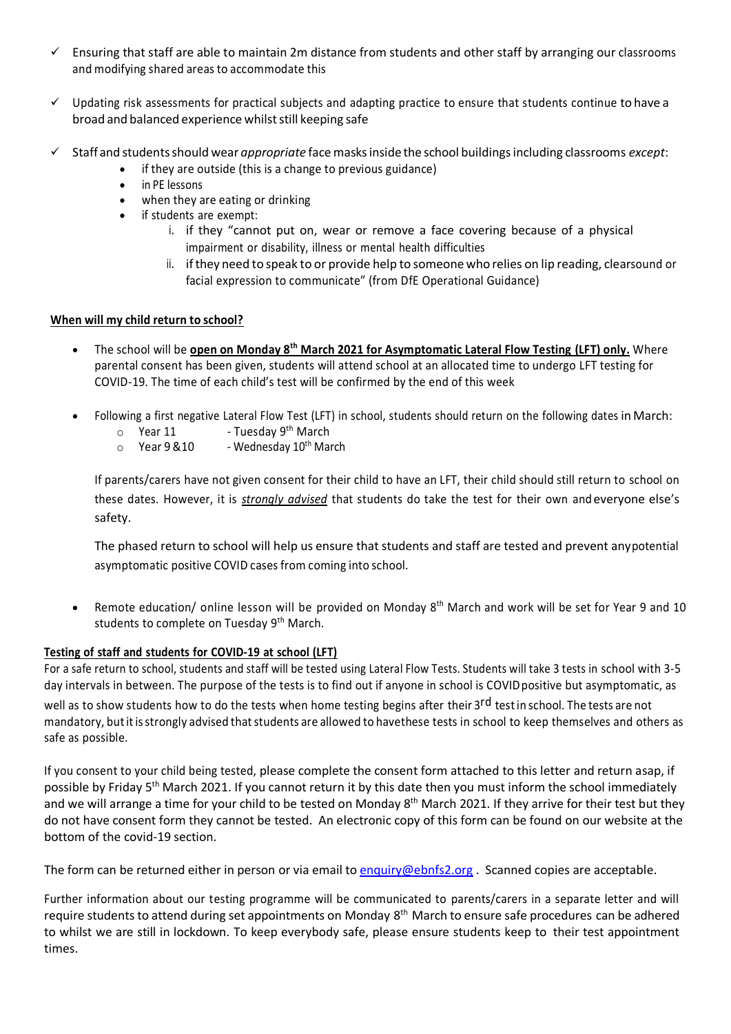- $\checkmark$  Ensuring that staff are able to maintain 2m distance from students and other staff by arranging our classrooms and modifying shared areas to accommodate this
- $\checkmark$  Updating risk assessments for practical subjects and adapting practice to ensure that students continue to have a broad and balanced experience whilststill keeping safe
- Staff and studentsshould wear *appropriate* facemasksinside the school buildingsincluding classrooms *except*:
	- if they are outside (this is a change to previous guidance)
	- in PE lessons
	- when they are eating or drinking
	- if students are exempt:
		- i. if they "cannot put on, wear or remove a face covering because of a physical impairment or disability, illness or mental health difficulties
		- ii. ifthey need to speak to or provide help to someone who relies on lip reading, clearsound or facial expression to communicate" (from DfE Operational Guidance)

# **When will my child return to school?**

- The school will be **open on Monday 8th March 2021 for Asymptomatic Lateral Flow Testing (LFT) only.** Where parental consent has been given, students will attend school at an allocated time to undergo LFT testing for COVID-19. The time of each child's test will be confirmed by the end of this week
- Following a first negative Lateral Flow Test (LFT) in school, students should return on the following dates in March:
	- $\circ$  Year 11 Tuesday 9<sup>th</sup> March
	- $\circ$  Year 9 & 10 Wednesday 10<sup>th</sup> March

If parents/carers have not given consent for their child to have an LFT, their child should still return to school on these dates. However, it is *strongly advised* that students do take the test for their own and everyone else's safety.

The phased return to school will help us ensure that students and staff are tested and prevent anypotential asymptomatic positive COVID cases from coming into school.

• Remote education/ online lesson will be provided on Monday 8<sup>th</sup> March and work will be set for Year 9 and 10 students to complete on Tuesday 9<sup>th</sup> March.

# **Testing of staff and students for COVID-19 at school (LFT)**

For a safe return to school, students and staff will be tested using Lateral Flow Tests. Students will take 3 tests in school with 3-5 day intervals in between. The purpose of the tests is to find out if anyone in school is COVID positive but asymptomatic, as well as to show students how to do the tests when home testing begins after their 3<sup>rd</sup> test in school. The tests are not mandatory, but it is strongly advised that students are allowed to havethese tests in school to keep themselves and others as safe as possible.

If you consent to your child being tested, please complete the consent form attached to this letter and return asap, if possible by Friday 5<sup>th</sup> March 2021. If you cannot return it by this date then you must inform the school immediately and we will arrange a time for your child to be tested on Monday 8<sup>th</sup> March 2021. If they arrive for their test but they do not have consent form they cannot be tested. An electronic copy of this form can be found on our website at the bottom of the covid-19 section.

The form can be returned either in person or via email to [enquiry@ebnfs2.org](mailto:enquiry@ebnfs2.org). Scanned copies are acceptable.

Further information about our testing programme will be communicated to parents/carers in a separate letter and will require students to attend during set appointments on Monday 8<sup>th</sup> March to ensure safe procedures can be adhered to whilst we are still in lockdown. To keep everybody safe, please ensure students keep to their test appointment times.